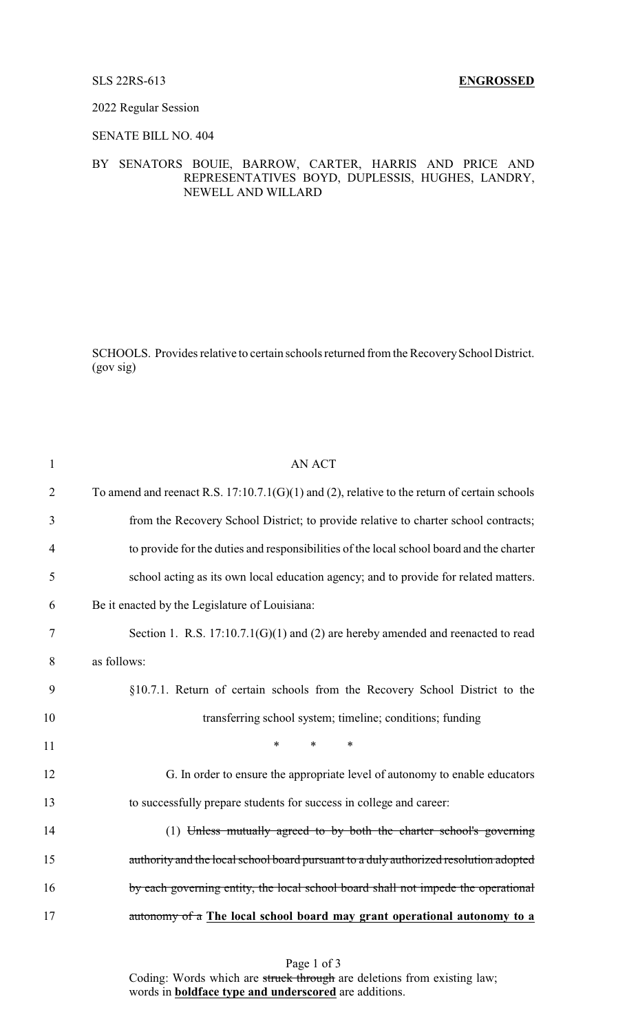2022 Regular Session

SENATE BILL NO. 404

## BY SENATORS BOUIE, BARROW, CARTER, HARRIS AND PRICE AND REPRESENTATIVES BOYD, DUPLESSIS, HUGHES, LANDRY, NEWELL AND WILLARD

SCHOOLS. Provides relative to certain schools returned from the Recovery School District. (gov sig)

| $\mathbf{1}$   | <b>AN ACT</b>                                                                                  |
|----------------|------------------------------------------------------------------------------------------------|
| $\overline{2}$ | To amend and reenact R.S. $17:10.7.1(G)(1)$ and (2), relative to the return of certain schools |
| 3              | from the Recovery School District; to provide relative to charter school contracts;            |
| 4              | to provide for the duties and responsibilities of the local school board and the charter       |
| 5              | school acting as its own local education agency; and to provide for related matters.           |
| 6              | Be it enacted by the Legislature of Louisiana:                                                 |
| 7              | Section 1. R.S. $17:10.7.1(G)(1)$ and (2) are hereby amended and reenacted to read             |
| 8              | as follows:                                                                                    |
| 9              | §10.7.1. Return of certain schools from the Recovery School District to the                    |
| 10             | transferring school system; timeline; conditions; funding                                      |
| 11             | $\ast$<br>$\ast$<br>$\ast$                                                                     |
| 12             | G. In order to ensure the appropriate level of autonomy to enable educators                    |
| 13             | to successfully prepare students for success in college and career:                            |
| 14             | (1) Unless mutually agreed to by both the charter school's governing                           |
| 15             | authority and the local school board pursuant to a duly authorized resolution adopted          |
| 16             | by each governing entity, the local school board shall not impede the operational              |
| 17             | autonomy of a The local school board may grant operational autonomy to a                       |
|                |                                                                                                |

Page 1 of 3 Coding: Words which are struck through are deletions from existing law; words in **boldface type and underscored** are additions.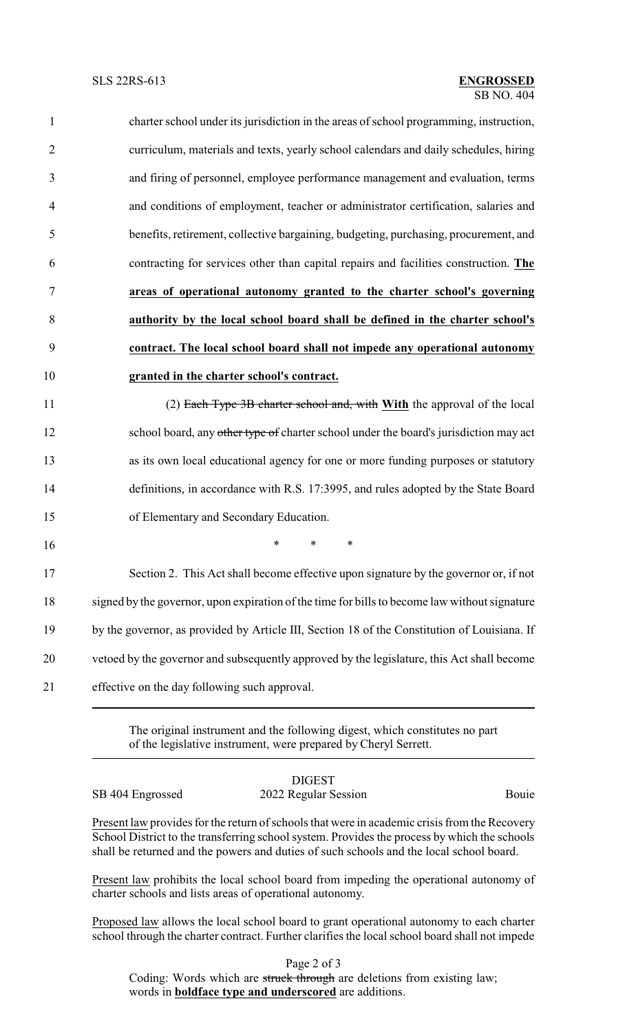| 1              | charter school under its jurisdiction in the areas of school programming, instruction, |
|----------------|----------------------------------------------------------------------------------------|
| $\overline{2}$ | curriculum, materials and texts, yearly school calendars and daily schedules, hiring   |
| 3              | and firing of personnel, employee performance management and evaluation, terms         |
| $\overline{4}$ | and conditions of employment, teacher or administrator certification, salaries and     |
| 5              | benefits, retirement, collective bargaining, budgeting, purchasing, procurement, and   |
| 6              | contracting for services other than capital repairs and facilities construction. The   |
| 7              | areas of operational autonomy granted to the charter school's governing                |
| 8              | authority by the local school board shall be defined in the charter school's           |
| 9              | contract. The local school board shall not impede any operational autonomy             |
| 10             | granted in the charter school's contract.                                              |
| 11             | (2) Each Type 3B charter school and, with With the approval of the local               |
| 12             | school board, any other type of charter school under the board's jurisdiction may act  |
| 13             | as its own local educational agency for one or more funding purposes or statutory      |
| 14             | definitions, in accordance with R.S. 17:3995, and rules adopted by the State Board     |
| 15             | of Elementary and Secondary Education.                                                 |
| 16             | $\ast$<br>$\ast$<br>$\ast$                                                             |
| 17             | Section 2. This Act shall become effective upon signature by the governor or, if not   |

 signed by the governor, upon expiration of the time for bills to become law without signature by the governor, as provided by Article III, Section 18 of the Constitution of Louisiana. If vetoed by the governor and subsequently approved by the legislature, this Act shall become effective on the day following such approval.

> The original instrument and the following digest, which constitutes no part of the legislative instrument, were prepared by Cheryl Serrett.

SB 404 Engrossed 2022 Regular Session Bouie

DIGEST

Present law provides for the return of schools that were in academic crisis from the Recovery School District to the transferring school system. Provides the process by which the schools shall be returned and the powers and duties of such schools and the local school board.

Present law prohibits the local school board from impeding the operational autonomy of charter schools and lists areas of operational autonomy.

Proposed law allows the local school board to grant operational autonomy to each charter school through the charter contract. Further clarifies the local school board shall not impede

Page 2 of 3

Coding: Words which are struck through are deletions from existing law; words in **boldface type and underscored** are additions.